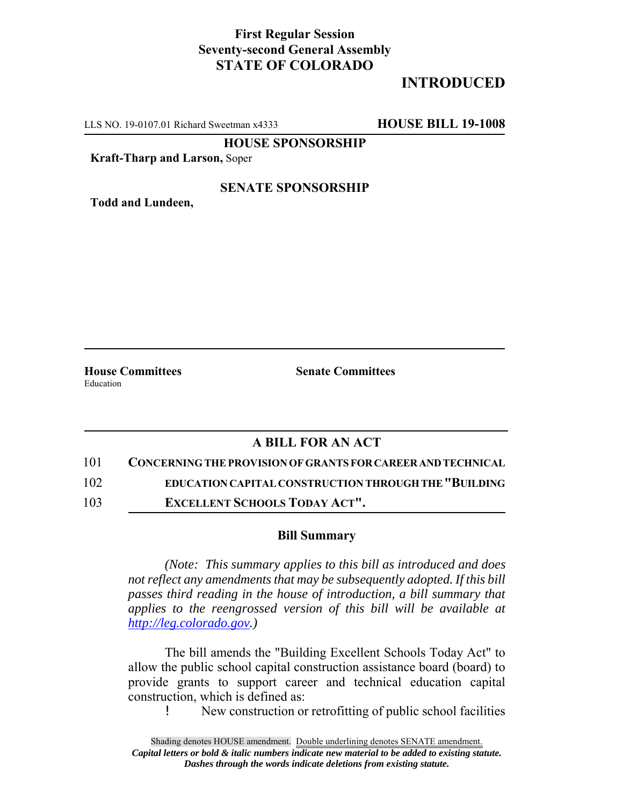## **First Regular Session Seventy-second General Assembly STATE OF COLORADO**

# **INTRODUCED**

LLS NO. 19-0107.01 Richard Sweetman x4333 **HOUSE BILL 19-1008**

**HOUSE SPONSORSHIP**

**Kraft-Tharp and Larson,** Soper

#### **SENATE SPONSORSHIP**

**Todd and Lundeen,**

Education

**House Committees Senate Committees** 

### **A BILL FOR AN ACT**

- 101 **CONCERNING THE PROVISION OF GRANTS FOR CAREER AND TECHNICAL**
- 102 **EDUCATION CAPITAL CONSTRUCTION THROUGH THE "BUILDING**
- 103 **EXCELLENT SCHOOLS TODAY ACT".**

### **Bill Summary**

*(Note: This summary applies to this bill as introduced and does not reflect any amendments that may be subsequently adopted. If this bill passes third reading in the house of introduction, a bill summary that applies to the reengrossed version of this bill will be available at http://leg.colorado.gov.)*

The bill amends the "Building Excellent Schools Today Act" to allow the public school capital construction assistance board (board) to provide grants to support career and technical education capital construction, which is defined as:

! New construction or retrofitting of public school facilities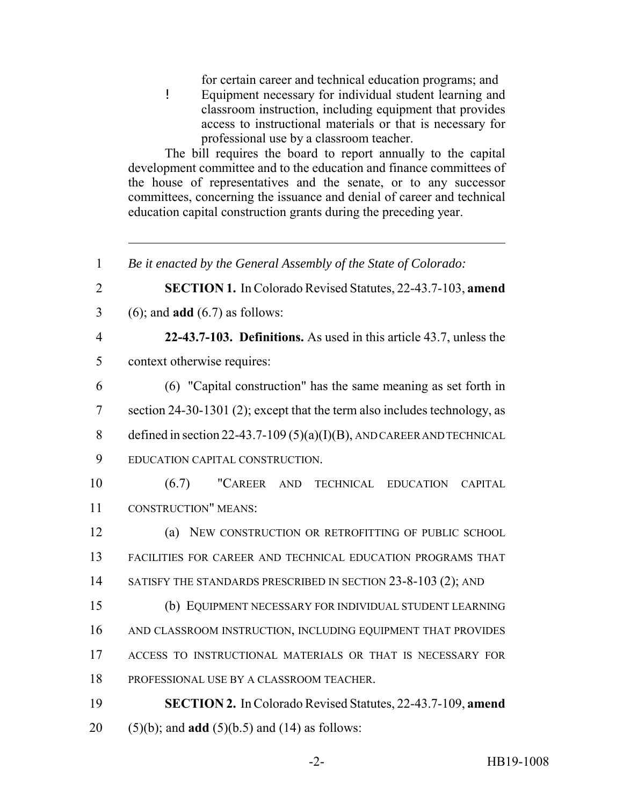for certain career and technical education programs; and ! Equipment necessary for individual student learning and classroom instruction, including equipment that provides access to instructional materials or that is necessary for professional use by a classroom teacher.

The bill requires the board to report annually to the capital development committee and to the education and finance committees of the house of representatives and the senate, or to any successor committees, concerning the issuance and denial of career and technical education capital construction grants during the preceding year.

 *Be it enacted by the General Assembly of the State of Colorado:* **SECTION 1.** In Colorado Revised Statutes, 22-43.7-103, **amend** (6); and **add** (6.7) as follows: **22-43.7-103. Definitions.** As used in this article 43.7, unless the context otherwise requires: (6) "Capital construction" has the same meaning as set forth in section 24-30-1301 (2); except that the term also includes technology, as 8 defined in section 22-43.7-109 (5)(a)(I)(B), AND CAREER AND TECHNICAL EDUCATION CAPITAL CONSTRUCTION. (6.7) "CAREER AND TECHNICAL EDUCATION CAPITAL CONSTRUCTION" MEANS: (a) NEW CONSTRUCTION OR RETROFITTING OF PUBLIC SCHOOL FACILITIES FOR CAREER AND TECHNICAL EDUCATION PROGRAMS THAT 14 SATISFY THE STANDARDS PRESCRIBED IN SECTION 23-8-103 (2); AND (b) EQUIPMENT NECESSARY FOR INDIVIDUAL STUDENT LEARNING AND CLASSROOM INSTRUCTION, INCLUDING EQUIPMENT THAT PROVIDES ACCESS TO INSTRUCTIONAL MATERIALS OR THAT IS NECESSARY FOR PROFESSIONAL USE BY A CLASSROOM TEACHER. **SECTION 2.** In Colorado Revised Statutes, 22-43.7-109, **amend** (5)(b); and **add** (5)(b.5) and (14) as follows: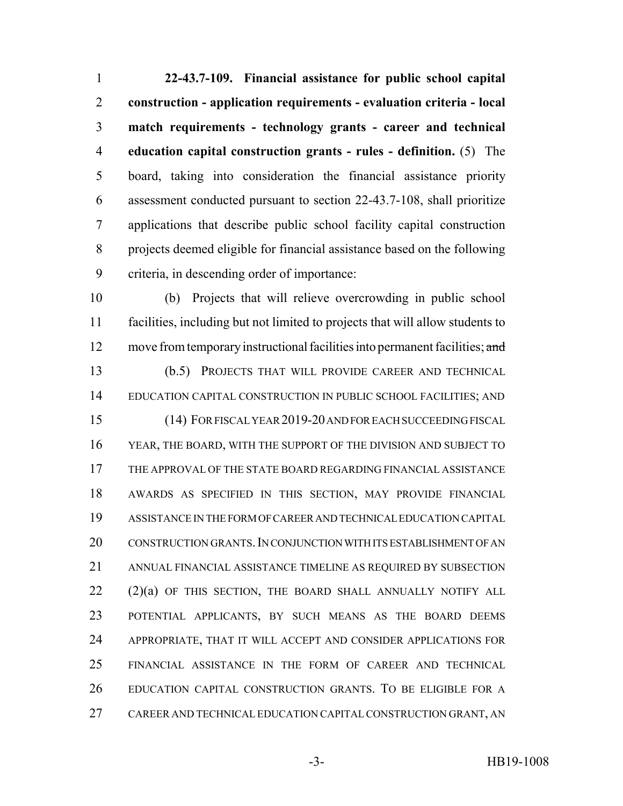**22-43.7-109. Financial assistance for public school capital construction - application requirements - evaluation criteria - local match requirements - technology grants - career and technical education capital construction grants - rules - definition.** (5) The board, taking into consideration the financial assistance priority assessment conducted pursuant to section 22-43.7-108, shall prioritize applications that describe public school facility capital construction projects deemed eligible for financial assistance based on the following criteria, in descending order of importance:

 (b) Projects that will relieve overcrowding in public school facilities, including but not limited to projects that will allow students to 12 move from temporary instructional facilities into permanent facilities; and (b.5) PROJECTS THAT WILL PROVIDE CAREER AND TECHNICAL EDUCATION CAPITAL CONSTRUCTION IN PUBLIC SCHOOL FACILITIES; AND (14) FOR FISCAL YEAR 2019-20 AND FOR EACH SUCCEEDING FISCAL YEAR, THE BOARD, WITH THE SUPPORT OF THE DIVISION AND SUBJECT TO THE APPROVAL OF THE STATE BOARD REGARDING FINANCIAL ASSISTANCE AWARDS AS SPECIFIED IN THIS SECTION, MAY PROVIDE FINANCIAL ASSISTANCE IN THE FORM OF CAREER AND TECHNICAL EDUCATION CAPITAL CONSTRUCTION GRANTS.IN CONJUNCTION WITH ITS ESTABLISHMENT OF AN ANNUAL FINANCIAL ASSISTANCE TIMELINE AS REQUIRED BY SUBSECTION 22 (2)(a) OF THIS SECTION, THE BOARD SHALL ANNUALLY NOTIFY ALL POTENTIAL APPLICANTS, BY SUCH MEANS AS THE BOARD DEEMS APPROPRIATE, THAT IT WILL ACCEPT AND CONSIDER APPLICATIONS FOR FINANCIAL ASSISTANCE IN THE FORM OF CAREER AND TECHNICAL EDUCATION CAPITAL CONSTRUCTION GRANTS. TO BE ELIGIBLE FOR A CAREER AND TECHNICAL EDUCATION CAPITAL CONSTRUCTION GRANT, AN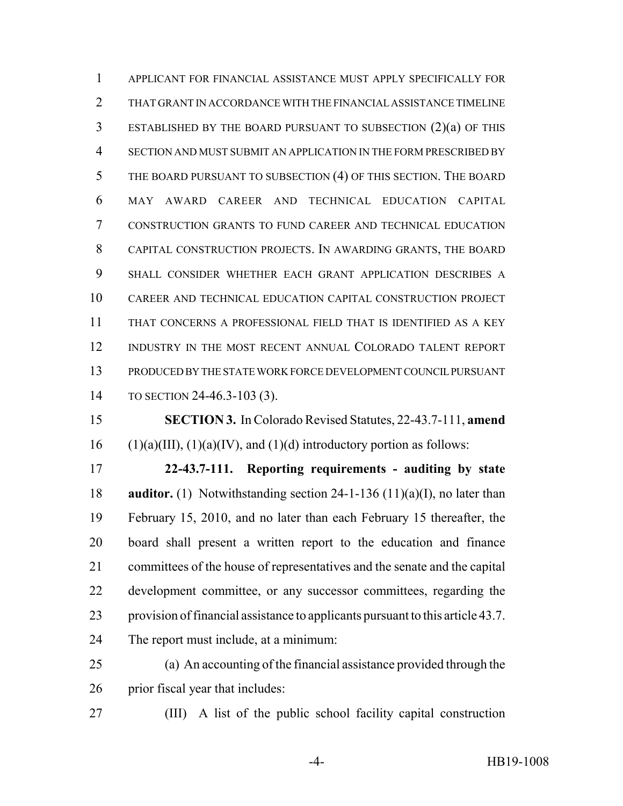APPLICANT FOR FINANCIAL ASSISTANCE MUST APPLY SPECIFICALLY FOR THAT GRANT IN ACCORDANCE WITH THE FINANCIAL ASSISTANCE TIMELINE ESTABLISHED BY THE BOARD PURSUANT TO SUBSECTION (2)(a) OF THIS SECTION AND MUST SUBMIT AN APPLICATION IN THE FORM PRESCRIBED BY THE BOARD PURSUANT TO SUBSECTION (4) OF THIS SECTION. THE BOARD MAY AWARD CAREER AND TECHNICAL EDUCATION CAPITAL CONSTRUCTION GRANTS TO FUND CAREER AND TECHNICAL EDUCATION CAPITAL CONSTRUCTION PROJECTS. IN AWARDING GRANTS, THE BOARD SHALL CONSIDER WHETHER EACH GRANT APPLICATION DESCRIBES A CAREER AND TECHNICAL EDUCATION CAPITAL CONSTRUCTION PROJECT THAT CONCERNS A PROFESSIONAL FIELD THAT IS IDENTIFIED AS A KEY INDUSTRY IN THE MOST RECENT ANNUAL COLORADO TALENT REPORT PRODUCED BY THE STATE WORK FORCE DEVELOPMENT COUNCIL PURSUANT TO SECTION 24-46.3-103 (3).

 **SECTION 3.** In Colorado Revised Statutes, 22-43.7-111, **amend** 16 (1)(a)(III), (1)(a)(IV), and (1)(d) introductory portion as follows:

 **22-43.7-111. Reporting requirements - auditing by state auditor.** (1) Notwithstanding section 24-1-136 (11)(a)(I), no later than February 15, 2010, and no later than each February 15 thereafter, the board shall present a written report to the education and finance committees of the house of representatives and the senate and the capital development committee, or any successor committees, regarding the provision of financial assistance to applicants pursuant to this article 43.7. The report must include, at a minimum:

 (a) An accounting of the financial assistance provided through the prior fiscal year that includes:

(III) A list of the public school facility capital construction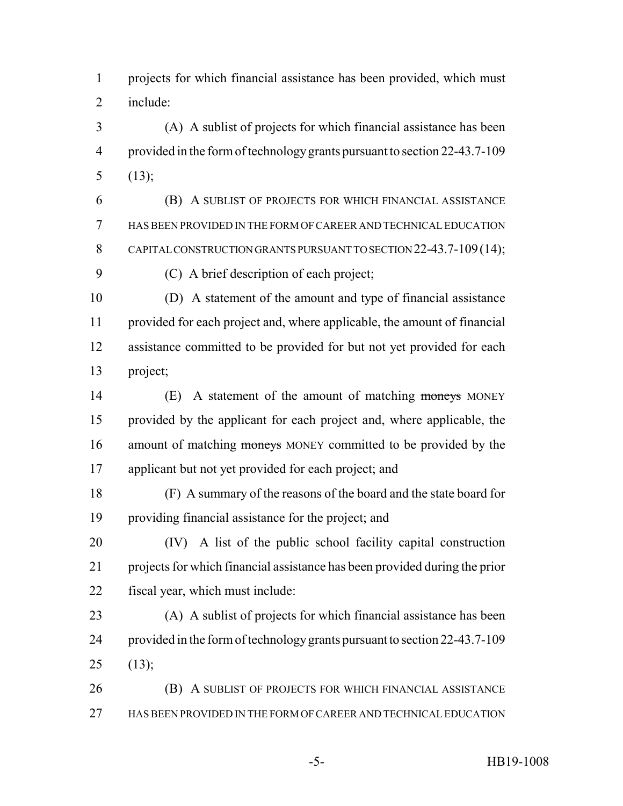projects for which financial assistance has been provided, which must include:

 (A) A sublist of projects for which financial assistance has been provided in the form of technology grants pursuant to section 22-43.7-109  $5 (13)$ ;

 (B) A SUBLIST OF PROJECTS FOR WHICH FINANCIAL ASSISTANCE HAS BEEN PROVIDED IN THE FORM OF CAREER AND TECHNICAL EDUCATION 8 CAPITAL CONSTRUCTION GRANTS PURSUANT TO SECTION 22-43.7-109 (14); (C) A brief description of each project;

 (D) A statement of the amount and type of financial assistance provided for each project and, where applicable, the amount of financial assistance committed to be provided for but not yet provided for each project;

14 (E) A statement of the amount of matching moneys MONEY provided by the applicant for each project and, where applicable, the 16 amount of matching moneys MONEY committed to be provided by the applicant but not yet provided for each project; and

 (F) A summary of the reasons of the board and the state board for providing financial assistance for the project; and

 (IV) A list of the public school facility capital construction projects for which financial assistance has been provided during the prior fiscal year, which must include:

 (A) A sublist of projects for which financial assistance has been provided in the form of technology grants pursuant to section 22-43.7-109 (13);

 (B) A SUBLIST OF PROJECTS FOR WHICH FINANCIAL ASSISTANCE HAS BEEN PROVIDED IN THE FORM OF CAREER AND TECHNICAL EDUCATION